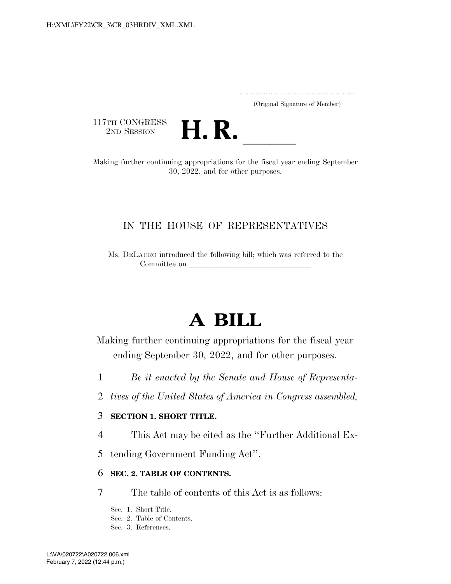.....................................................................

(Original Signature of Member)

117TH CONGRESS<br>2ND SESSION



2ND SESSION **H. R. H. R.** Making further continuing appropriations for the fiscal year ending September 30, 2022, and for other purposes.

### IN THE HOUSE OF REPRESENTATIVES

Ms. DELAURO introduced the following bill; which was referred to the Committee on leads on later when  $\alpha$ 

# **A BILL**

Making further continuing appropriations for the fiscal year ending September 30, 2022, and for other purposes.

- 1 *Be it enacted by the Senate and House of Representa-*
- 2 *tives of the United States of America in Congress assembled,*

#### 3 **SECTION 1. SHORT TITLE.**

- 4 This Act may be cited as the ''Further Additional Ex-
- 5 tending Government Funding Act''.

#### 6 **SEC. 2. TABLE OF CONTENTS.**

7 The table of contents of this Act is as follows:

Sec. 1. Short Title.

- Sec. 2. Table of Contents.
- Sec. 3. References.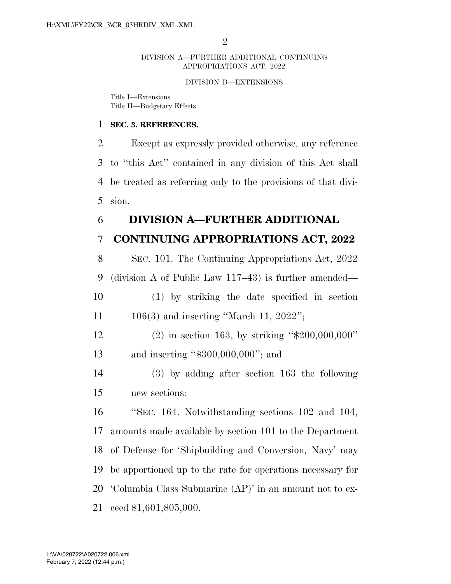#### DIVISION A—FURTHER ADDITIONAL CONTINUING APPROPRIATIONS ACT, 2022

#### DIVISION B—EXTENSIONS

Title I—Extensions Title II—Budgetary Effects

#### **SEC. 3. REFERENCES.**

 Except as expressly provided otherwise, any reference to ''this Act'' contained in any division of this Act shall be treated as referring only to the provisions of that divi-sion.

#### **DIVISION A—FURTHER ADDITIONAL**

### **CONTINUING APPROPRIATIONS ACT, 2022**

 SEC. 101. The Continuing Appropriations Act, 2022 (division A of Public Law 117–43) is further amended— (1) by striking the date specified in section

- 11 106(3) and inserting "March 11, 2022";
- (2) in section 163, by striking ''\$200,000,000'' 13 and inserting "\$300,000,000"; and
- (3) by adding after section 163 the following new sections:

 ''SEC. 164. Notwithstanding sections 102 and 104, amounts made available by section 101 to the Department of Defense for 'Shipbuilding and Conversion, Navy' may be apportioned up to the rate for operations necessary for 'Columbia Class Submarine (AP)' in an amount not to ex-ceed \$1,601,805,000.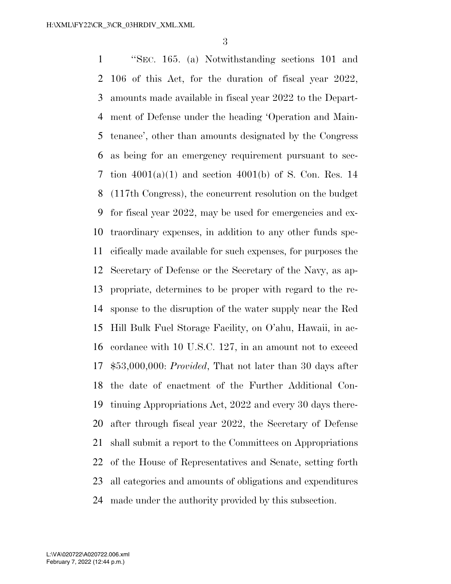''SEC. 165. (a) Notwithstanding sections 101 and 106 of this Act, for the duration of fiscal year 2022, amounts made available in fiscal year 2022 to the Depart- ment of Defense under the heading 'Operation and Main- tenance', other than amounts designated by the Congress as being for an emergency requirement pursuant to sec- tion 4001(a)(1) and section 4001(b) of S. Con. Res. 14 (117th Congress), the concurrent resolution on the budget for fiscal year 2022, may be used for emergencies and ex- traordinary expenses, in addition to any other funds spe- cifically made available for such expenses, for purposes the Secretary of Defense or the Secretary of the Navy, as ap- propriate, determines to be proper with regard to the re- sponse to the disruption of the water supply near the Red Hill Bulk Fuel Storage Facility, on O'ahu, Hawaii, in ac- cordance with 10 U.S.C. 127, in an amount not to exceed \$53,000,000: *Provided*, That not later than 30 days after the date of enactment of the Further Additional Con- tinuing Appropriations Act, 2022 and every 30 days there- after through fiscal year 2022, the Secretary of Defense shall submit a report to the Committees on Appropriations of the House of Representatives and Senate, setting forth all categories and amounts of obligations and expenditures made under the authority provided by this subsection.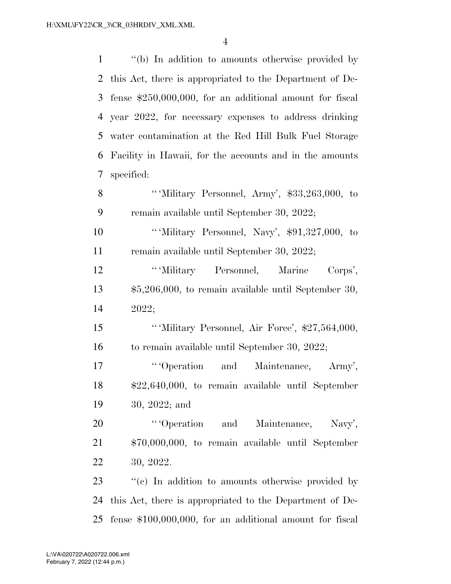| $\mathbf{1}$   | "(b) In addition to amounts otherwise provided by          |
|----------------|------------------------------------------------------------|
| $\overline{2}$ | this Act, there is appropriated to the Department of De-   |
| 3              | fense $$250,000,000$ , for an additional amount for fiscal |
|                | 4 year 2022, for necessary expenses to address drinking    |
| 5              | water contamination at the Red Hill Bulk Fuel Storage      |
| 6              | Facility in Hawaii, for the accounts and in the amounts    |
| 7              | specified:                                                 |
| 8              | "Wilitary Personnel, Army', \$33,263,000, to               |
| 9              | remain available until September 30, 2022;                 |
| 10             | "Wilitary Personnel, Navy', \$91,327,000, to               |
| 11             | remain available until September 30, 2022;                 |
| 12             | "Wilitary Personnel, Marine Corps',                        |
| 13             | $$5,206,000$ , to remain available until September 30,     |
| 14             | 2022;                                                      |
| 15             | "'Military Personnel, Air Force', \$27,564,000,            |
| 16             | to remain available until September 30, 2022;              |
| 17             | "Operation and Maintenance, Army',                         |
| 18             | \$22,640,000, to remain available until September          |
| 19             | $30, 2022;$ and                                            |
| 20             | "Operation and Maintenance, Navy',                         |
| 21             | \$70,000,000, to remain available until September          |
| 22             | 30, 2022.                                                  |
| 23             | "(c) In addition to amounts otherwise provided by          |
| 24             | this Act, there is appropriated to the Department of De-   |
| 25             | fense $$100,000,000$ , for an additional amount for fiscal |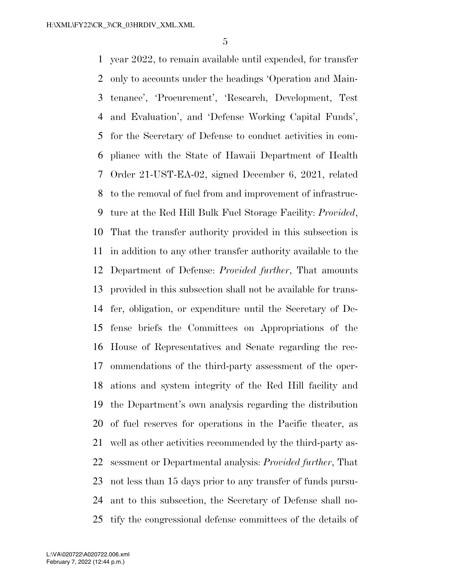year 2022, to remain available until expended, for transfer only to accounts under the headings 'Operation and Main- tenance', 'Procurement', 'Research, Development, Test and Evaluation', and 'Defense Working Capital Funds', for the Secretary of Defense to conduct activities in com- pliance with the State of Hawaii Department of Health Order 21-UST-EA-02, signed December 6, 2021, related to the removal of fuel from and improvement of infrastruc- ture at the Red Hill Bulk Fuel Storage Facility: *Provided*, That the transfer authority provided in this subsection is in addition to any other transfer authority available to the Department of Defense: *Provided further*, That amounts provided in this subsection shall not be available for trans- fer, obligation, or expenditure until the Secretary of De- fense briefs the Committees on Appropriations of the House of Representatives and Senate regarding the rec- ommendations of the third-party assessment of the oper- ations and system integrity of the Red Hill facility and the Department's own analysis regarding the distribution of fuel reserves for operations in the Pacific theater, as well as other activities recommended by the third-party as- sessment or Departmental analysis: *Provided further*, That not less than 15 days prior to any transfer of funds pursu- ant to this subsection, the Secretary of Defense shall no-tify the congressional defense committees of the details of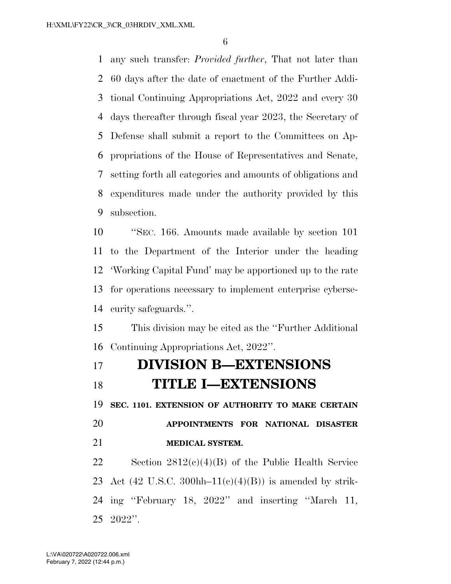any such transfer: *Provided further*, That not later than 60 days after the date of enactment of the Further Addi- tional Continuing Appropriations Act, 2022 and every 30 days thereafter through fiscal year 2023, the Secretary of Defense shall submit a report to the Committees on Ap- propriations of the House of Representatives and Senate, setting forth all categories and amounts of obligations and expenditures made under the authority provided by this subsection.

 ''SEC. 166. Amounts made available by section 101 to the Department of the Interior under the heading 'Working Capital Fund' may be apportioned up to the rate for operations necessary to implement enterprise cyberse-curity safeguards.''.

 This division may be cited as the ''Further Additional Continuing Appropriations Act, 2022''.

## **DIVISION B—EXTENSIONS TITLE I—EXTENSIONS**

**SEC. 1101. EXTENSION OF AUTHORITY TO MAKE CERTAIN** 

 **APPOINTMENTS FOR NATIONAL DISASTER MEDICAL SYSTEM.** 

 Section 2812(c)(4)(B) of the Public Health Service 23 Act (42 U.S.C. 300hh– $11(e)(4)(B)$ ) is amended by strik- ing ''February 18, 2022'' and inserting ''March 11, 2022''.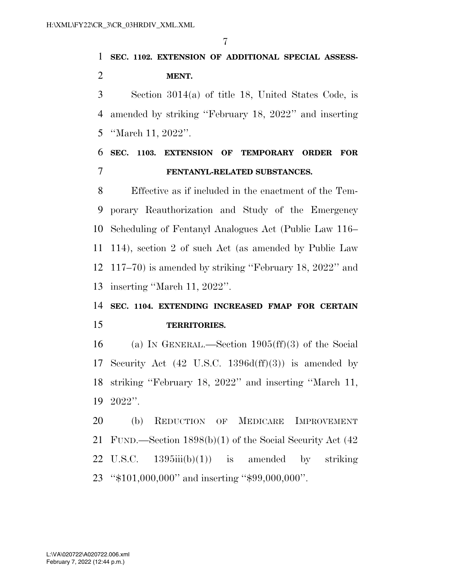# **SEC. 1102. EXTENSION OF ADDITIONAL SPECIAL ASSESS-MENT.**

 Section 3014(a) of title 18, United States Code, is amended by striking ''February 18, 2022'' and inserting ''March 11, 2022''.

### **SEC. 1103. EXTENSION OF TEMPORARY ORDER FOR FENTANYL-RELATED SUBSTANCES.**

 Effective as if included in the enactment of the Tem- porary Reauthorization and Study of the Emergency Scheduling of Fentanyl Analogues Act (Public Law 116– 114), section 2 of such Act (as amended by Public Law 117–70) is amended by striking ''February 18, 2022'' and inserting ''March 11, 2022''.

### **SEC. 1104. EXTENDING INCREASED FMAP FOR CERTAIN TERRITORIES.**

 (a) IN GENERAL.—Section 1905(ff)(3) of the Social Security Act (42 U.S.C. 1396d(ff)(3)) is amended by striking ''February 18, 2022'' and inserting ''March 11, 2022''.

 (b) REDUCTION OF MEDICARE IMPROVEMENT FUND.—Section 1898(b)(1) of the Social Security Act (42 22 U.S.C.  $1395iii(b)(1)$  is amended by striking ''\$101,000,000'' and inserting ''\$99,000,000''.